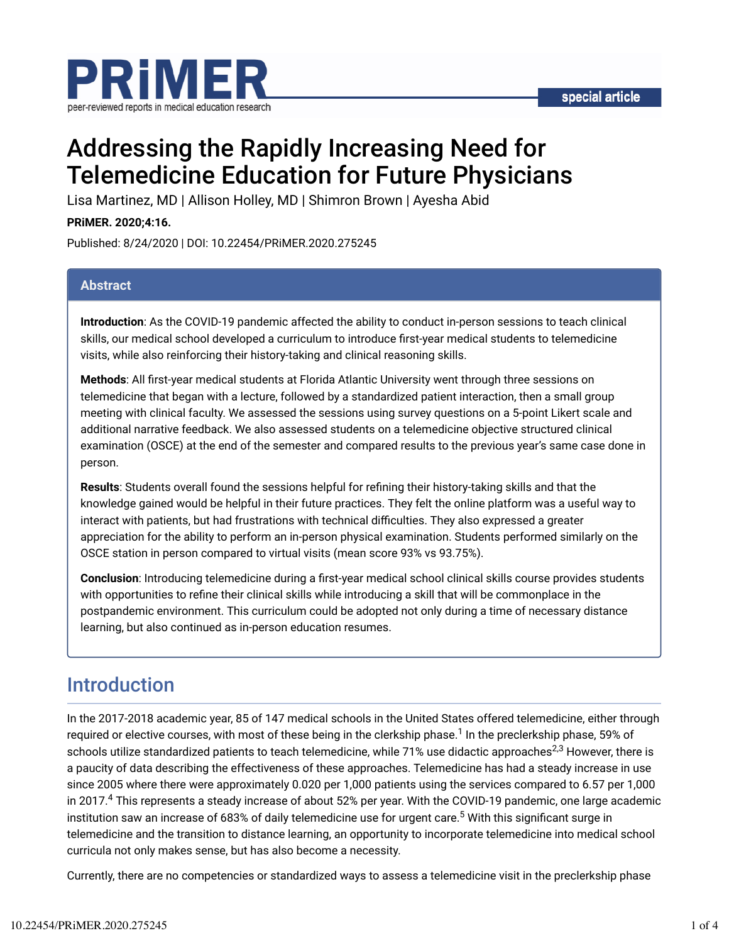

# Addressing the Rapidly Increasing Need for Telemedicine Education for Future Physicians

Lisa Martinez, MD | Allison Holley, MD | Shimron Brown | Ayesha Abid

**PRiMER. 2020;4:16.**

Published: 8/24/2020 | DOI: 10.22454/PRiMER.2020.275245

### **Abstract**

**Introduction**: As the COVID-19 pandemic affected the ability to conduct in-person sessions to teach clinical skills, our medical school developed a curriculum to introduce first-year medical students to telemedicine visits, while also reinforcing their history-taking and clinical reasoning skills.

**Methods**: All Trst-year medical students at Florida Atlantic University went through three sessions on telemedicine that began with a lecture, followed by a standardized patient interaction, then a small group meeting with clinical faculty. We assessed the sessions using survey questions on a 5-point Likert scale and additional narrative feedback. We also assessed students on a telemedicine objective structured clinical examination (OSCE) at the end of the semester and compared results to the previous year's same case done in person.

**Results**: Students overall found the sessions helpful for refining their history-taking skills and that the knowledge gained would be helpful in their future practices. They felt the online platform was a useful way to interact with patients, but had frustrations with technical difficulties. They also expressed a greater appreciation for the ability to perform an in-person physical examination. Students performed similarly on the OSCE station in person compared to virtual visits (mean score 93% vs 93.75%).

Conclusion: Introducing telemedicine during a first-year medical school clinical skills course provides students with opportunities to refine their clinical skills while introducing a skill that will be commonplace in the postpandemic environment. This curriculum could be adopted not only during a time of necessary distance learning, but also continued as in-person education resumes.

### Introduction

In the 2017-2018 academic year, 85 of 147 medical schools in the United States offered telemedicine, either through required or elective courses, with most of these being in the clerkship phase. $^1$  In the preclerkship phase, 59% of schools utilize standardized patients to teach telemedicine, while 71% use didactic approaches<sup>2,3</sup> However, there is a paucity of data describing the effectiveness of these approaches. Telemedicine has had a steady increase in use since 2005 where there were approximately 0.020 per 1,000 patients using the services compared to 6.57 per 1,000 in 2017. $^4$  This represents a steady increase of about 52% per year. With the COVID-19 pandemic, one large academic institution saw an increase of 683% of daily telemedicine use for urgent care. $^5$  With this significant surge in telemedicine and the transition to distance learning, an opportunity to incorporate telemedicine into medical school curricula not only makes sense, but has also become a necessity.

Currently, there are no competencies or standardized ways to assess a telemedicine visit in the preclerkship phase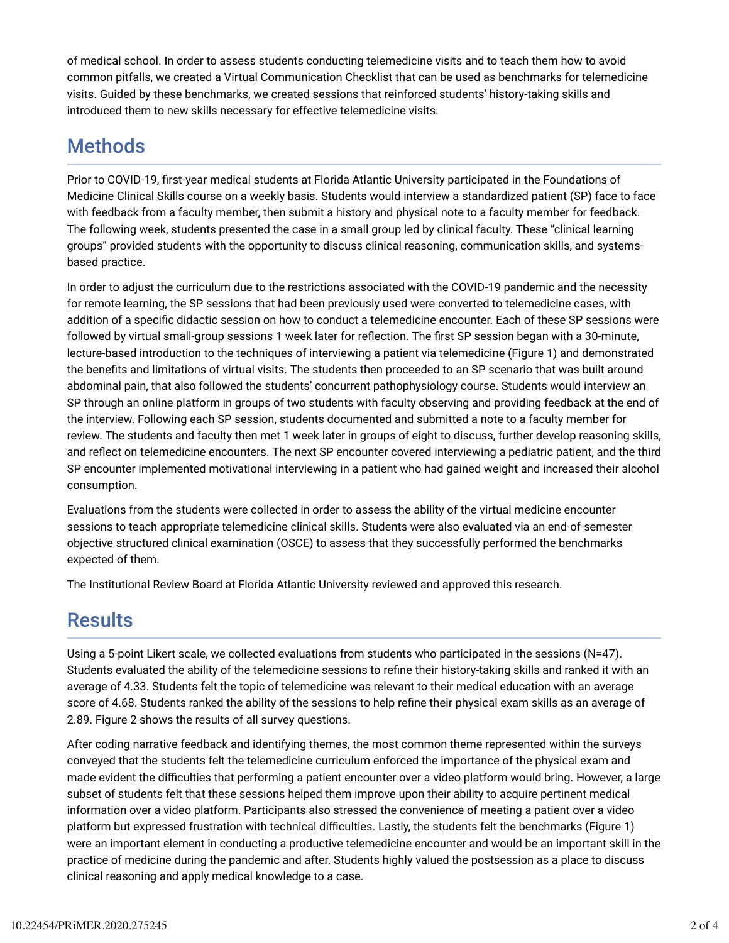of medical school. In order to assess students conducting telemedicine visits and to teach them how to avoid common pitfalls, we created a Virtual Communication Checklist that can be used as benchmarks for telemedicine visits. Guided by these benchmarks, we created sessions that reinforced students' history-taking skills and introduced them to new skills necessary for effective telemedicine visits.

## **Methods**

Prior to COVID-19, first-year medical students at Florida Atlantic University participated in the Foundations of Medicine Clinical Skills course on a weekly basis. Students would interview a standardized patient (SP) face to face with feedback from a faculty member, then submit a history and physical note to a faculty member for feedback. The following week, students presented the case in a small group led by clinical faculty. These "clinical learning groups" provided students with the opportunity to discuss clinical reasoning, communication skills, and systemsbased practice.

In order to adjust the curriculum due to the restrictions associated with the COVID-19 pandemic and the necessity for remote learning, the SP sessions that had been previously used were converted to telemedicine cases, with addition of a specific didactic session on how to conduct a telemedicine encounter. Each of these SP sessions were followed by virtual small-group sessions 1 week later for reflection. The first SP session began with a 30-minute, lecture-based introduction to the techniques of interviewing a patient via telemedicine (Figure 1) and demonstrated the benefits and limitations of virtual visits. The students then proceeded to an SP scenario that was built around abdominal pain, that also followed the students' concurrent pathophysiology course. Students would interview an SP through an online platform in groups of two students with faculty observing and providing feedback at the end of the interview. Following each SP session, students documented and submitted a note to a faculty member for review. The students and faculty then met 1 week later in groups of eight to discuss, further develop reasoning skills, and reflect on telemedicine encounters. The next SP encounter covered interviewing a pediatric patient, and the third SP encounter implemented motivational interviewing in a patient who had gained weight and increased their alcohol consumption.

Evaluations from the students were collected in order to assess the ability of the virtual medicine encounter sessions to teach appropriate telemedicine clinical skills. Students were also evaluated via an end-of-semester objective structured clinical examination (OSCE) to assess that they successfully performed the benchmarks expected of them.

The Institutional Review Board at Florida Atlantic University reviewed and approved this research.

### **Results**

Using a 5-point Likert scale, we collected evaluations from students who participated in the sessions (N=47). Students evaluated the ability of the telemedicine sessions to refine their history-taking skills and ranked it with an average of 4.33. Students felt the topic of telemedicine was relevant to their medical education with an average score of 4.68. Students ranked the ability of the sessions to help refine their physical exam skills as an average of 2.89. Figure 2 shows the results of all survey questions.

After coding narrative feedback and identifying themes, the most common theme represented within the surveys conveyed that the students felt the telemedicine curriculum enforced the importance of the physical exam and made evident the difficulties that performing a patient encounter over a video platform would bring. However, a large subset of students felt that these sessions helped them improve upon their ability to acquire pertinent medical information over a video platform. Participants also stressed the convenience of meeting a patient over a video platform but expressed frustration with technical difficulties. Lastly, the students felt the benchmarks (Figure 1) were an important element in conducting a productive telemedicine encounter and would be an important skill in the practice of medicine during the pandemic and after. Students highly valued the postsession as a place to discuss clinical reasoning and apply medical knowledge to a case.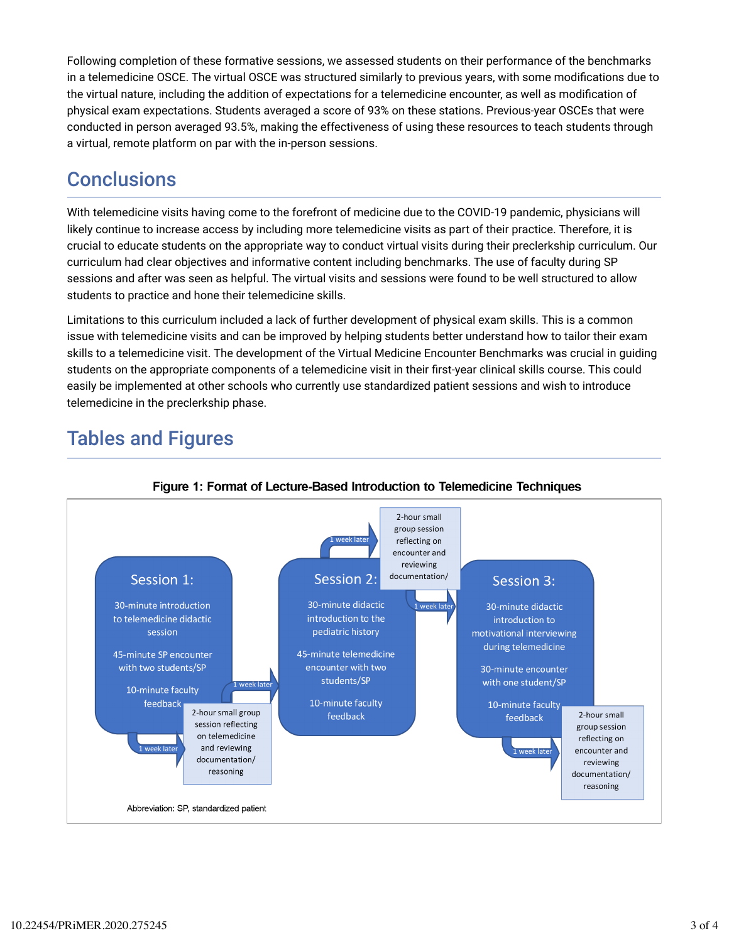Following completion of these formative sessions, we assessed students on their performance of the benchmarks in a telemedicine OSCE. The virtual OSCE was structured similarly to previous years, with some modifications due to the virtual nature, including the addition of expectations for a telemedicine encounter, as well as modification of physical exam expectations. Students averaged a score of 93% on these stations. Previous-year OSCEs that were conducted in person averaged 93.5%, making the effectiveness of using these resources to teach students through a virtual, remote platform on par with the in-person sessions.

# **Conclusions**

With telemedicine visits having come to the forefront of medicine due to the COVID-19 pandemic, physicians will likely continue to increase access by including more telemedicine visits as part of their practice. Therefore, it is crucial to educate students on the appropriate way to conduct virtual visits during their preclerkship curriculum. Our curriculum had clear objectives and informative content including benchmarks. The use of faculty during SP sessions and after was seen as helpful. The virtual visits and sessions were found to be well structured to allow students to practice and hone their telemedicine skills.

Limitations to this curriculum included a lack of further development of physical exam skills. This is a common issue with telemedicine visits and can be improved by helping students better understand how to tailor their exam skills to a telemedicine visit. The development of the Virtual Medicine Encounter Benchmarks was crucial in guiding students on the appropriate components of a telemedicine visit in their first-year clinical skills course. This could easily be implemented at other schools who currently use standardized patient sessions and wish to introduce telemedicine in the preclerkship phase.

# Tables and Figures



#### Figure 1: Format of Lecture-Based Introduction to Telemedicine Techniques